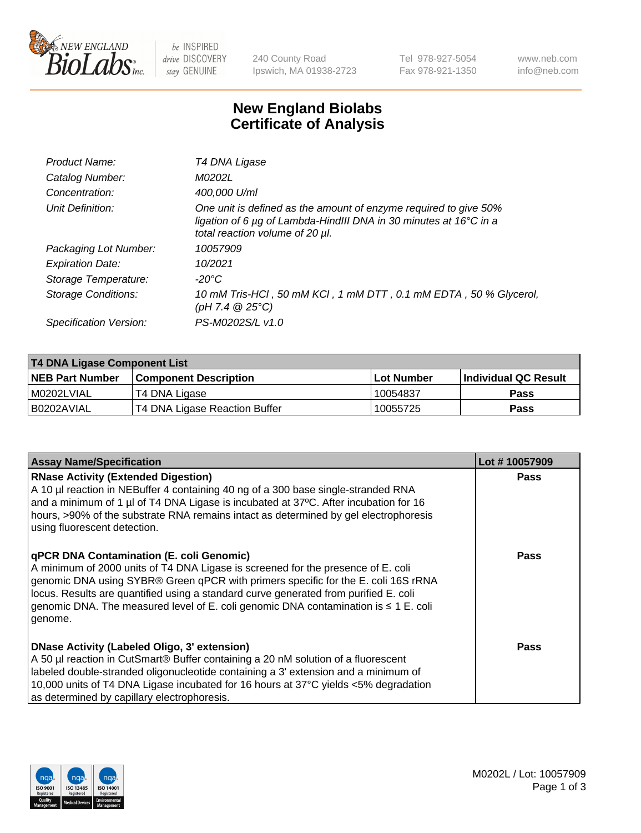

 $be$  INSPIRED drive DISCOVERY stay GENUINE

240 County Road Ipswich, MA 01938-2723 Tel 978-927-5054 Fax 978-921-1350 www.neb.com info@neb.com

## **New England Biolabs Certificate of Analysis**

| Product Name:           | T4 DNA Ligase                                                                                                                                                            |
|-------------------------|--------------------------------------------------------------------------------------------------------------------------------------------------------------------------|
| Catalog Number:         | M0202L                                                                                                                                                                   |
| Concentration:          | 400,000 U/ml                                                                                                                                                             |
| Unit Definition:        | One unit is defined as the amount of enzyme required to give 50%<br>ligation of 6 µg of Lambda-HindIII DNA in 30 minutes at 16°C in a<br>total reaction volume of 20 µl. |
| Packaging Lot Number:   | 10057909                                                                                                                                                                 |
| <b>Expiration Date:</b> | 10/2021                                                                                                                                                                  |
| Storage Temperature:    | $-20^{\circ}$ C                                                                                                                                                          |
| Storage Conditions:     | 10 mM Tris-HCl, 50 mM KCl, 1 mM DTT, 0.1 mM EDTA, 50 % Glycerol,<br>$(pH 7.4 \ @ 25^{\circ}C)$                                                                           |
| Specification Version:  | PS-M0202S/L v1.0                                                                                                                                                         |

| T4 DNA Ligase Component List |                               |              |                             |  |
|------------------------------|-------------------------------|--------------|-----------------------------|--|
| <b>NEB Part Number</b>       | <b>Component Description</b>  | l Lot Number | <b>Individual QC Result</b> |  |
| M0202LVIAL                   | T4 DNA Ligase                 | 10054837     | <b>Pass</b>                 |  |
| I B0202AVIAL                 | T4 DNA Ligase Reaction Buffer | 10055725     | <b>Pass</b>                 |  |

| <b>Assay Name/Specification</b>                                                                                                                                                                                                                                                                                                                                                                                         | Lot #10057909 |
|-------------------------------------------------------------------------------------------------------------------------------------------------------------------------------------------------------------------------------------------------------------------------------------------------------------------------------------------------------------------------------------------------------------------------|---------------|
| <b>RNase Activity (Extended Digestion)</b><br>A 10 µl reaction in NEBuffer 4 containing 40 ng of a 300 base single-stranded RNA<br>and a minimum of 1 µl of T4 DNA Ligase is incubated at 37 $\degree$ C. After incubation for 16<br>hours, >90% of the substrate RNA remains intact as determined by gel electrophoresis<br>using fluorescent detection.                                                               | <b>Pass</b>   |
| <b>qPCR DNA Contamination (E. coli Genomic)</b><br>A minimum of 2000 units of T4 DNA Ligase is screened for the presence of E. coli<br>genomic DNA using SYBR® Green qPCR with primers specific for the E. coli 16S rRNA<br>locus. Results are quantified using a standard curve generated from purified E. coli<br>genomic DNA. The measured level of E. coli genomic DNA contamination is $\leq 1$ E. coli<br>genome. | Pass          |
| DNase Activity (Labeled Oligo, 3' extension)<br>A 50 µl reaction in CutSmart® Buffer containing a 20 nM solution of a fluorescent<br>labeled double-stranded oligonucleotide containing a 3' extension and a minimum of<br>10,000 units of T4 DNA Ligase incubated for 16 hours at 37°C yields <5% degradation<br>as determined by capillary electrophoresis.                                                           | Pass          |

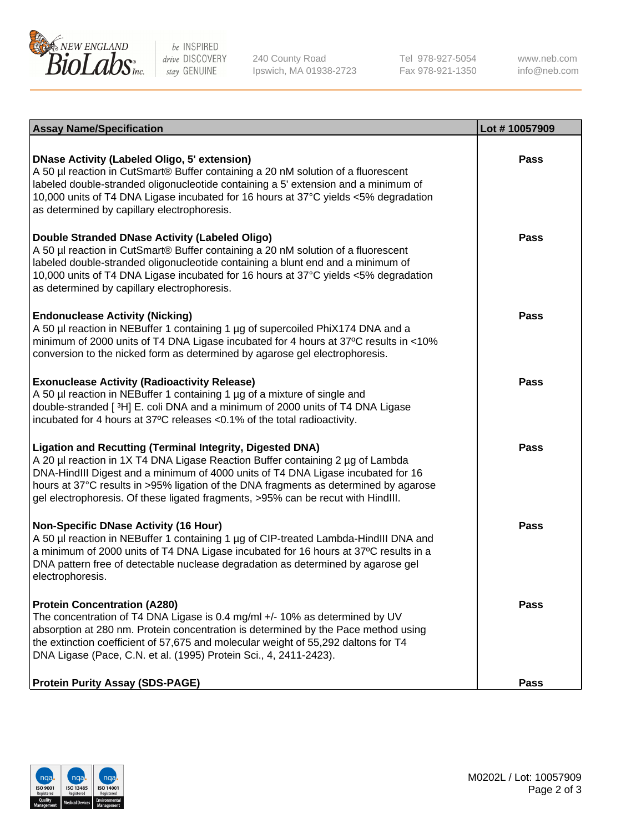

be INSPIRED drive DISCOVERY stay GENUINE

240 County Road Ipswich, MA 01938-2723 Tel 978-927-5054 Fax 978-921-1350

www.neb.com info@neb.com

| <b>Assay Name/Specification</b>                                                                                                                                                                                                                                                                                                                                                                                    | Lot #10057909 |
|--------------------------------------------------------------------------------------------------------------------------------------------------------------------------------------------------------------------------------------------------------------------------------------------------------------------------------------------------------------------------------------------------------------------|---------------|
| <b>DNase Activity (Labeled Oligo, 5' extension)</b><br>A 50 µl reaction in CutSmart® Buffer containing a 20 nM solution of a fluorescent<br>labeled double-stranded oligonucleotide containing a 5' extension and a minimum of<br>10,000 units of T4 DNA Ligase incubated for 16 hours at 37°C yields <5% degradation<br>as determined by capillary electrophoresis.                                               | <b>Pass</b>   |
| Double Stranded DNase Activity (Labeled Oligo)<br>A 50 µl reaction in CutSmart® Buffer containing a 20 nM solution of a fluorescent<br>labeled double-stranded oligonucleotide containing a blunt end and a minimum of<br>10,000 units of T4 DNA Ligase incubated for 16 hours at 37°C yields <5% degradation<br>as determined by capillary electrophoresis.                                                       | <b>Pass</b>   |
| <b>Endonuclease Activity (Nicking)</b><br>A 50 µl reaction in NEBuffer 1 containing 1 µg of supercoiled PhiX174 DNA and a<br>minimum of 2000 units of T4 DNA Ligase incubated for 4 hours at 37°C results in <10%<br>conversion to the nicked form as determined by agarose gel electrophoresis.                                                                                                                   | Pass          |
| <b>Exonuclease Activity (Radioactivity Release)</b><br>A 50 µl reaction in NEBuffer 1 containing 1 µg of a mixture of single and<br>double-stranded [3H] E. coli DNA and a minimum of 2000 units of T4 DNA Ligase<br>incubated for 4 hours at 37°C releases <0.1% of the total radioactivity.                                                                                                                      | <b>Pass</b>   |
| <b>Ligation and Recutting (Terminal Integrity, Digested DNA)</b><br>A 20 µl reaction in 1X T4 DNA Ligase Reaction Buffer containing 2 µg of Lambda<br>DNA-HindIII Digest and a minimum of 4000 units of T4 DNA Ligase incubated for 16<br>hours at 37°C results in >95% ligation of the DNA fragments as determined by agarose<br>gel electrophoresis. Of these ligated fragments, >95% can be recut with HindIII. | Pass          |
| Non-Specific DNase Activity (16 Hour)<br>A 50 µl reaction in NEBuffer 1 containing 1 µg of CIP-treated Lambda-HindIII DNA and<br>a minimum of 2000 units of T4 DNA Ligase incubated for 16 hours at 37°C results in a<br>DNA pattern free of detectable nuclease degradation as determined by agarose gel<br>electrophoresis.                                                                                      | Pass          |
| <b>Protein Concentration (A280)</b><br>The concentration of T4 DNA Ligase is 0.4 mg/ml +/- 10% as determined by UV<br>absorption at 280 nm. Protein concentration is determined by the Pace method using<br>the extinction coefficient of 57,675 and molecular weight of 55,292 daltons for T4<br>DNA Ligase (Pace, C.N. et al. (1995) Protein Sci., 4, 2411-2423).                                                | <b>Pass</b>   |
| <b>Protein Purity Assay (SDS-PAGE)</b>                                                                                                                                                                                                                                                                                                                                                                             | <b>Pass</b>   |